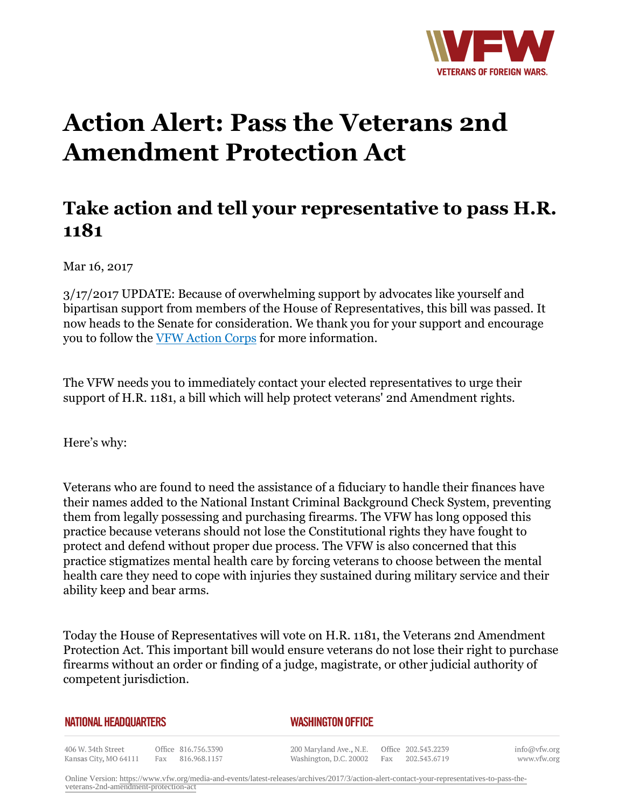

## **Action Alert: Pass the Veterans 2nd Amendment Protection Act**

## **Take action and tell your representative to pass H.R. 1181**

Mar 16, 2017

3/17/2017 UPDATE: Because of overwhelming support by advocates like yourself and bipartisan support from members of the House of Representatives, this bill was passed. It now heads to the Senate for consideration. We thank you for your support and encourage you to follow the VFW Action Corps for more information.

The VFW needs you to immediately contact your elected representatives to urge their support of H.R. 1181, a bill which will help protect veterans' 2nd Amendment rights.

Here's why:

Veterans who are found to need the assistance of a fiduciary to handle their finances have their names added to the National Instant Criminal Background Check System, preventing them from legally possessing and purchasing firearms. The VFW has long opposed this practice because veterans should not lose the Constitutional rights they have fought to protect and defend without proper due process. The VFW is also concerned that this practice stigmatizes mental health care by forcing veterans to choose between the mental health care they need to cope with injuries they sustained during military service and their ability keep and bear arms.

Today the House of Representatives will vote on H.R. 1181, the Veterans 2nd Amendment Protection Act. This important bill would ensure veterans do not lose their right to purchase firearms without an order or finding of a judge, magistrate, or other judicial authority of competent jurisdiction.

| NATIONAL HEADQUARTERS                       |     |                                     | <b>WASHINGTON OFFICE</b>                                              |  |                  |                             |  |
|---------------------------------------------|-----|-------------------------------------|-----------------------------------------------------------------------|--|------------------|-----------------------------|--|
| 406 W. 34th Street<br>Kansas City, MO 64111 | Fax | Office 816.756.3390<br>816.968.1157 | 200 Maryland Ave., N.E. Office 202.543.2239<br>Washington, D.C. 20002 |  | Fax 202.543.6719 | info@vfw.org<br>www.vfw.org |  |

Online Version: [https://www.vfw.org/media-and-events/latest-releases/archives/2017/3/action-alert-contact-your-representatives-to-pass-the](https://www.vfw.org/media-and-events/latest-releases/archives/2017/3/action-alert-contact-your-representatives-to-pass-the-veterans-2nd-amendment-protection-act)[veterans-2nd-amendment-protection-act](https://www.vfw.org/media-and-events/latest-releases/archives/2017/3/action-alert-contact-your-representatives-to-pass-the-veterans-2nd-amendment-protection-act)